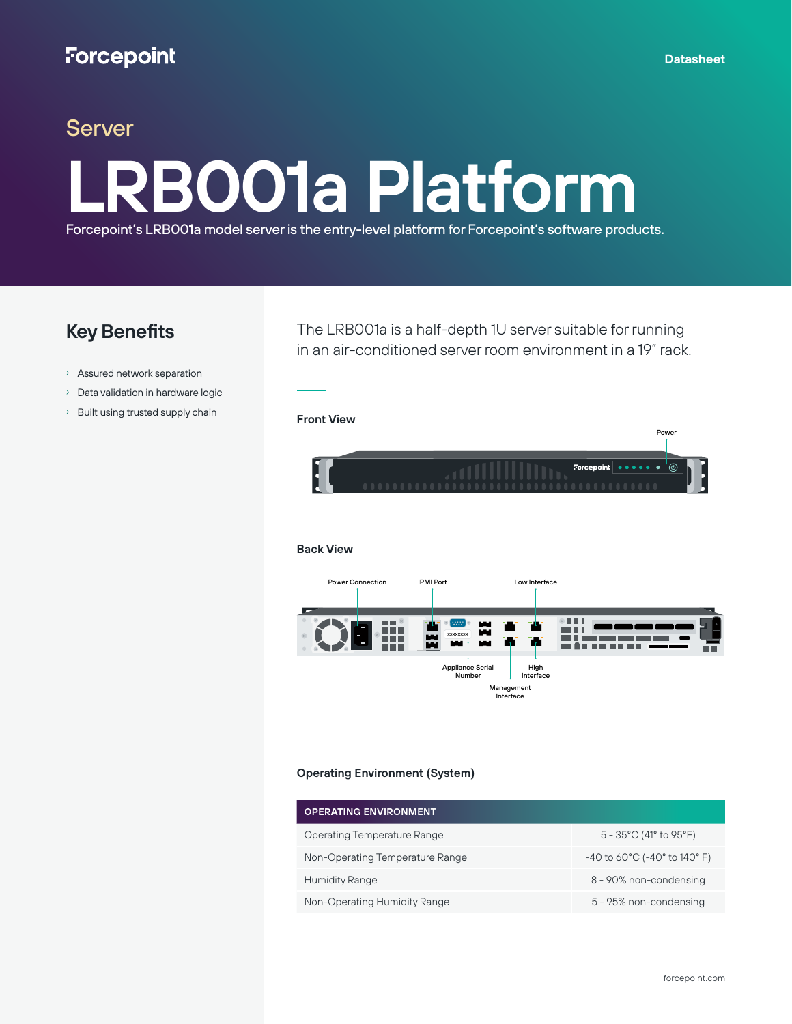# Server

# **LRB001a Platform**

Forcepoint's LRB001a model server is the entry-level platform for Forcepoint's software products.

## **Key Benefits**

› Assured network separation

- › Data validation in hardware logic
- › Built using trusted supply chain **Front View**

The LRB001a is a half-depth 1U server suitable for running in an air-conditioned server room environment in a 19" rack.

Power Forcepoint • • •

#### **Back View**



#### **Operating Environment (System)**

| <b>OPERATING ENVIRONMENT</b>    |                                                               |
|---------------------------------|---------------------------------------------------------------|
| Operating Temperature Range     | $5 - 35^{\circ}$ C (41 $^{\circ}$ to 95 $^{\circ}$ F)         |
| Non-Operating Temperature Range | $-40$ to 60 $^{\circ}$ C ( $-40^{\circ}$ to 140 $^{\circ}$ F) |
| <b>Humidity Range</b>           | 8 - 90% non-condensing                                        |
| Non-Operating Humidity Range    | 5 - 95% non-condensing                                        |

Power